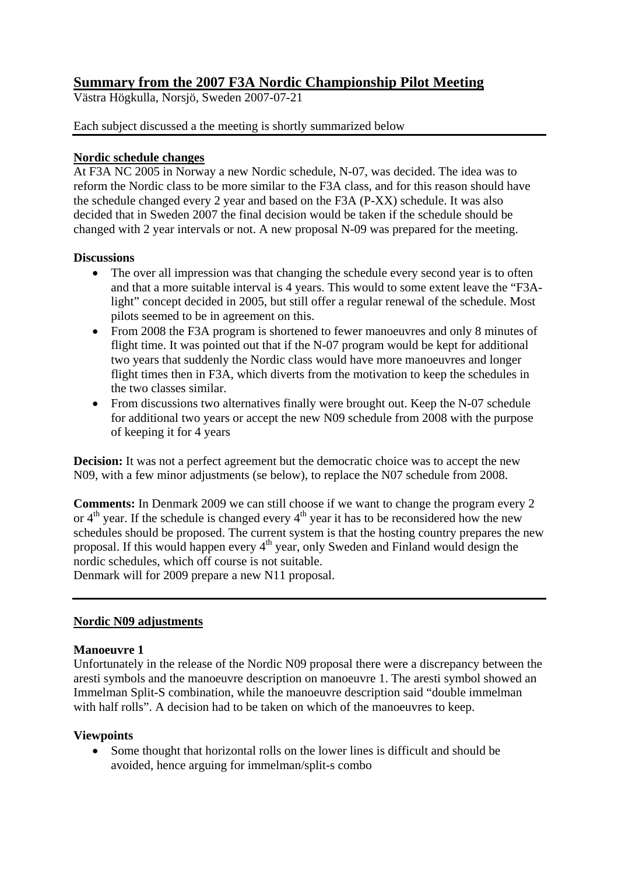# **Summary from the 2007 F3A Nordic Championship Pilot Meeting**

Västra Högkulla, Norsjö, Sweden 2007-07-21

### Each subject discussed a the meeting is shortly summarized below

### **Nordic schedule changes**

At F3A NC 2005 in Norway a new Nordic schedule, N-07, was decided. The idea was to reform the Nordic class to be more similar to the F3A class, and for this reason should have the schedule changed every 2 year and based on the F3A (P-XX) schedule. It was also decided that in Sweden 2007 the final decision would be taken if the schedule should be changed with 2 year intervals or not. A new proposal N-09 was prepared for the meeting.

### **Discussions**

- The over all impression was that changing the schedule every second year is to often and that a more suitable interval is 4 years. This would to some extent leave the "F3Alight" concept decided in 2005, but still offer a regular renewal of the schedule. Most pilots seemed to be in agreement on this.
- From 2008 the F3A program is shortened to fewer manoeuvres and only 8 minutes of flight time. It was pointed out that if the N-07 program would be kept for additional two years that suddenly the Nordic class would have more manoeuvres and longer flight times then in F3A, which diverts from the motivation to keep the schedules in the two classes similar.
- From discussions two alternatives finally were brought out. Keep the N-07 schedule for additional two years or accept the new N09 schedule from 2008 with the purpose of keeping it for 4 years

**Decision:** It was not a perfect agreement but the democratic choice was to accept the new N09, with a few minor adjustments (se below), to replace the N07 schedule from 2008.

**Comments:** In Denmark 2009 we can still choose if we want to change the program every 2 or  $4<sup>th</sup>$  year. If the schedule is changed every  $4<sup>th</sup>$  year it has to be reconsidered how the new schedules should be proposed. The current system is that the hosting country prepares the new proposal. If this would happen every  $4<sup>th</sup>$  year, only Sweden and Finland would design the nordic schedules, which off course is not suitable.

Denmark will for 2009 prepare a new N11 proposal.

## **Nordic N09 adjustments**

### **Manoeuvre 1**

Unfortunately in the release of the Nordic N09 proposal there were a discrepancy between the aresti symbols and the manoeuvre description on manoeuvre 1. The aresti symbol showed an Immelman Split-S combination, while the manoeuvre description said "double immelman with half rolls". A decision had to be taken on which of the manoeuvres to keep.

### **Viewpoints**

• Some thought that horizontal rolls on the lower lines is difficult and should be avoided, hence arguing for immelman/split-s combo